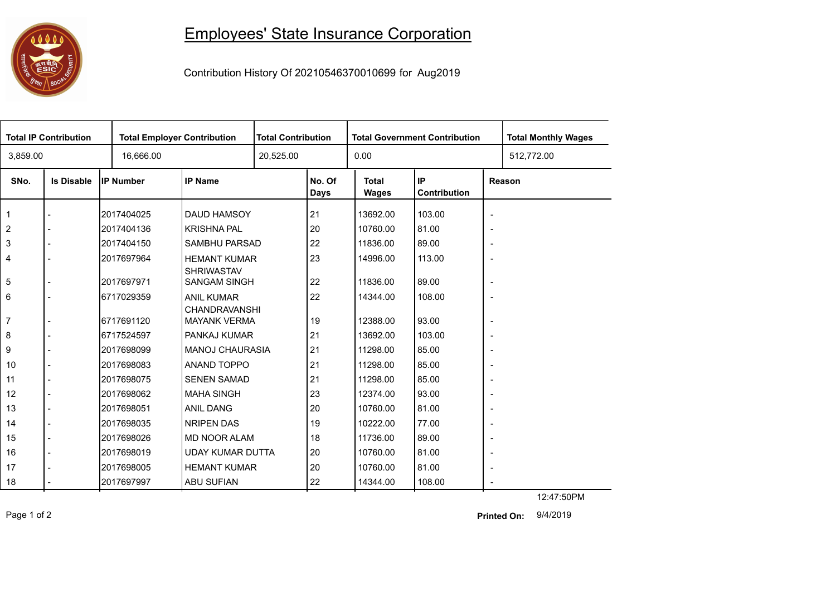

## Employees' State Insurance Corporation

Contribution History Of 20210546370010699 for Aug2019

| <b>Total IP Contribution</b> |                   |                  | <b>Total Employer Contribution</b>        |           | <b>Total Contribution</b> |                              | <b>Total Government Contribution</b> | <b>Total Monthly Wages</b> |            |
|------------------------------|-------------------|------------------|-------------------------------------------|-----------|---------------------------|------------------------------|--------------------------------------|----------------------------|------------|
| 3,859.00                     |                   | 16,666.00        |                                           | 20,525.00 |                           | 0.00                         |                                      |                            | 512,772.00 |
| SNo.                         | <b>Is Disable</b> | <b>IP Number</b> | <b>IP Name</b>                            |           | No. Of<br><b>Days</b>     | <b>Total</b><br><b>Wages</b> | IP<br>Contribution                   | Reason                     |            |
| $\mathbf 1$                  |                   | 2017404025       | DAUD HAMSOY                               |           | 21                        | 13692.00                     | 103.00                               | $\blacksquare$             |            |
| 2                            |                   | 2017404136       | <b>KRISHNA PAL</b>                        |           | 20                        | 10760.00                     | 81.00                                | $\blacksquare$             |            |
| $\mathsf 3$                  |                   | 2017404150       | SAMBHU PARSAD                             |           | 22                        | 11836.00                     | 89.00                                | $\overline{\phantom{a}}$   |            |
| 4                            |                   | 2017697964       | <b>HEMANT KUMAR</b><br><b>SHRIWASTAV</b>  |           | 23                        | 14996.00                     | 113.00                               | $\blacksquare$             |            |
| 5                            |                   | 2017697971       | <b>SANGAM SINGH</b>                       |           | 22                        | 11836.00                     | 89.00                                | $\overline{\phantom{a}}$   |            |
| 6                            |                   | 6717029359       | <b>ANIL KUMAR</b><br><b>CHANDRAVANSHI</b> |           | 22                        | 14344.00                     | 108.00                               | $\blacksquare$             |            |
| $\overline{7}$               |                   | 6717691120       | <b>MAYANK VERMA</b>                       |           | 19                        | 12388.00                     | 93.00                                | $\blacksquare$             |            |
| 8                            |                   | 6717524597       | PANKAJ KUMAR                              |           | 21                        | 13692.00                     | 103.00                               | $\overline{\phantom{a}}$   |            |
| 9                            |                   | 2017698099       | <b>MANOJ CHAURASIA</b>                    |           | 21                        | 11298.00                     | 85.00                                | $\overline{\phantom{a}}$   |            |
| 10                           | $\blacksquare$    | 2017698083       | ANAND TOPPO                               |           | 21                        | 11298.00                     | 85.00                                | $\overline{\phantom{a}}$   |            |
| 11                           |                   | 2017698075       | <b>SENEN SAMAD</b>                        |           | 21                        | 11298.00                     | 85.00                                | $\overline{\phantom{a}}$   |            |
| 12                           | $\overline{a}$    | 2017698062       | <b>MAHA SINGH</b>                         |           | 23                        | 12374.00                     | 93.00                                | $\overline{\phantom{a}}$   |            |
| 13                           |                   | 2017698051       | ANIL DANG                                 |           | 20                        | 10760.00                     | 81.00                                | $\blacksquare$             |            |
| 14                           | $\overline{a}$    | 2017698035       | NRIPEN DAS                                |           | 19                        | 10222.00                     | 77.00                                | $\overline{\phantom{a}}$   |            |
| 15                           | $\overline{a}$    | 2017698026       | <b>MD NOOR ALAM</b>                       |           | 18                        | 11736.00                     | 89.00                                | $\overline{\phantom{a}}$   |            |
| 16                           | $\blacksquare$    | 2017698019       | <b>UDAY KUMAR DUTTA</b>                   |           | 20                        | 10760.00                     | 81.00                                | $\blacksquare$             |            |
| 17                           |                   | 2017698005       | <b>HEMANT KUMAR</b>                       |           | 20                        | 10760.00                     | 81.00                                | $\overline{\phantom{a}}$   |            |
| 18                           |                   | 2017697997       | <b>ABU SUFIAN</b>                         |           | 22                        | 14344.00                     | 108.00                               |                            |            |
|                              |                   |                  |                                           |           |                           |                              |                                      |                            | 12:47:50PM |

Page 1 of 2 9/4/2019 **Printed On:**